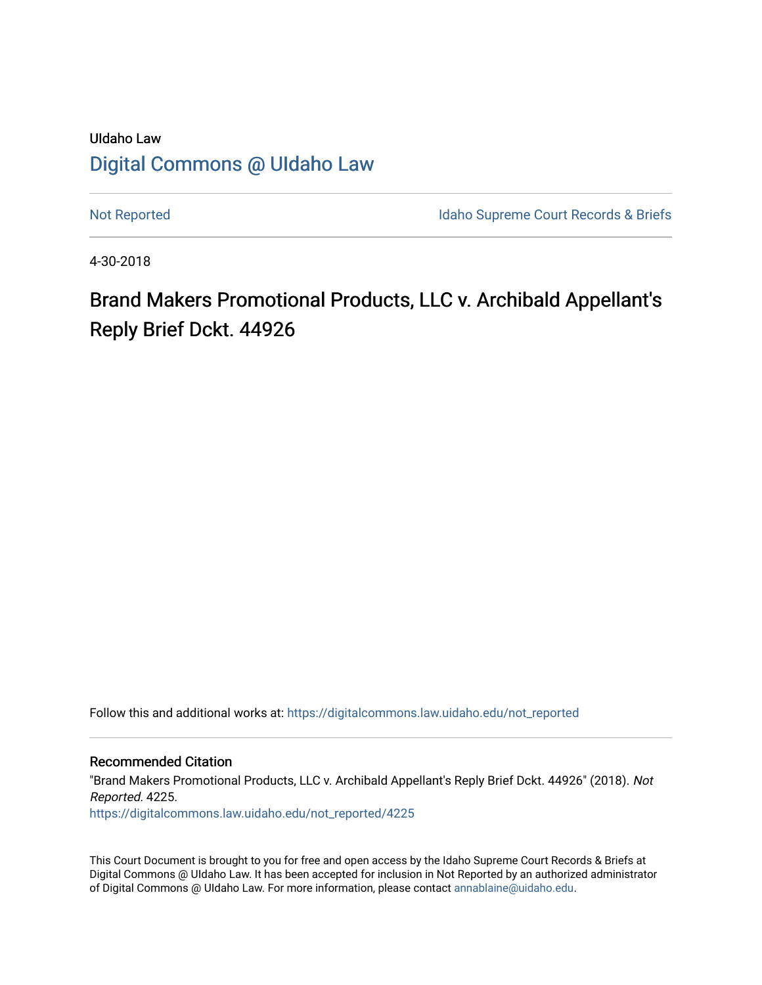## UIdaho Law [Digital Commons @ UIdaho Law](https://digitalcommons.law.uidaho.edu/)

[Not Reported](https://digitalcommons.law.uidaho.edu/not_reported) **Idaho Supreme Court Records & Briefs** 

4-30-2018

# Brand Makers Promotional Products, LLC v. Archibald Appellant's Reply Brief Dckt. 44926

Follow this and additional works at: [https://digitalcommons.law.uidaho.edu/not\\_reported](https://digitalcommons.law.uidaho.edu/not_reported?utm_source=digitalcommons.law.uidaho.edu%2Fnot_reported%2F4225&utm_medium=PDF&utm_campaign=PDFCoverPages) 

Recommended Citation

"Brand Makers Promotional Products, LLC v. Archibald Appellant's Reply Brief Dckt. 44926" (2018). Not Reported. 4225. [https://digitalcommons.law.uidaho.edu/not\\_reported/4225](https://digitalcommons.law.uidaho.edu/not_reported/4225?utm_source=digitalcommons.law.uidaho.edu%2Fnot_reported%2F4225&utm_medium=PDF&utm_campaign=PDFCoverPages)

This Court Document is brought to you for free and open access by the Idaho Supreme Court Records & Briefs at Digital Commons @ UIdaho Law. It has been accepted for inclusion in Not Reported by an authorized administrator of Digital Commons @ UIdaho Law. For more information, please contact [annablaine@uidaho.edu](mailto:annablaine@uidaho.edu).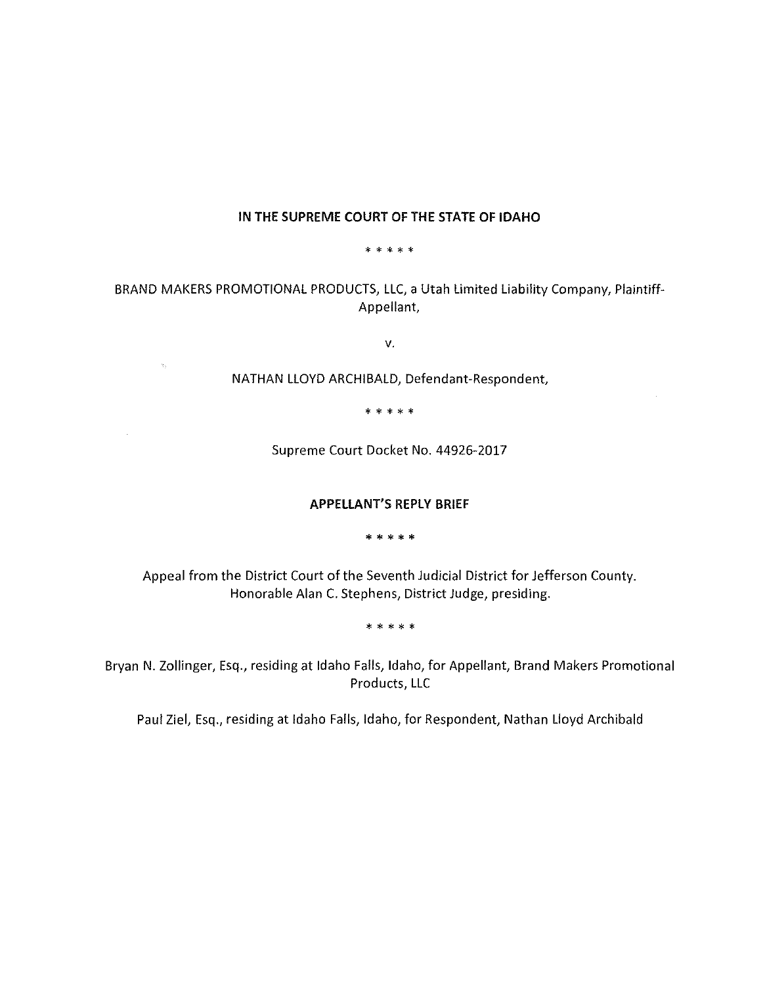## **IN THE SUPREME COURT OF THE STATE OF IDAHO**

\* \* \* \* \*

BRAND MAKERS PROMOTIONAL PRODUCTS, LLC, a Utah limited liability Company, Plaintiff-Appellant,

V.

NATHAN LLOYD ARCHIBALD, Defendant-Respondent,

 $\mathcal{V}_2$ 

 $\bar{\bar{z}}$ 

\* \* \* \* \*

Supreme Court Docket No. 44926-2017

#### **APPELLANT'S REPLY BRIEF**

\* \* \* \* \*

Appeal from the District Court of the Seventh Judicial District for Jefferson County. Honorable Alan C. Stephens, District Judge, presiding.

\* \* \* \* \*

Bryan N. Zollinger, Esq., residing at Idaho Falls, Idaho, for Appellant, Brand Makers Promotional Products, LLC

Paul Ziel, Esq., residing at Idaho Falls, Idaho, for Respondent, Nathan Lloyd Archibald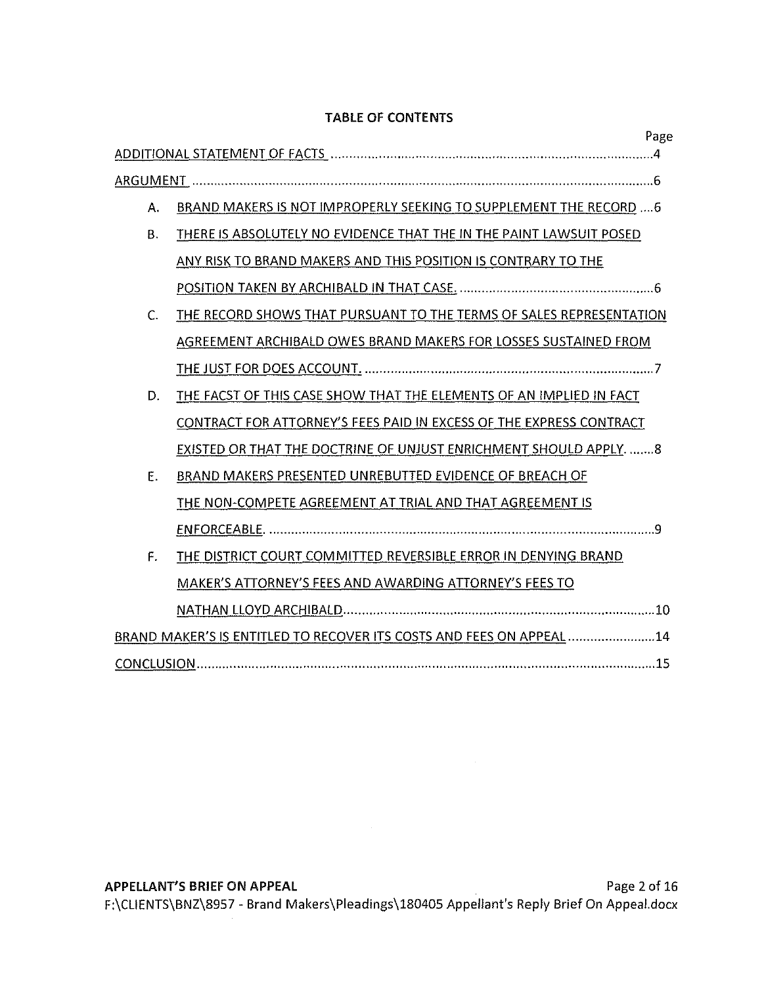## **TABLE OF CONTENTS**

| Page                                                                             |
|----------------------------------------------------------------------------------|
|                                                                                  |
|                                                                                  |
| BRAND MAKERS IS NOT IMPROPERLY SEEKING TO SUPPLEMENT THE RECORD  6<br>А.         |
| THERE IS ABSOLUTELY NO EVIDENCE THAT THE IN THE PAINT LAWSUIT POSED<br><b>B.</b> |
| ANY RISK TO BRAND MAKERS AND THIS POSITION IS CONTRARY TO THE                    |
|                                                                                  |
| THE RECORD SHOWS THAT PURSUANT TO THE TERMS OF SALES REPRESENTATION<br>C.        |
| AGREEMENT ARCHIBALD OWES BRAND MAKERS FOR LOSSES SUSTAINED FROM                  |
|                                                                                  |
| THE FACST OF THIS CASE SHOW THAT THE ELEMENTS OF AN IMPLIED IN FACT<br>D.        |
| CONTRACT FOR ATTORNEY'S FEES PAID IN EXCESS OF THE EXPRESS CONTRACT              |
| EXISTED OR THAT THE DOCTRINE OF UNJUST ENRICHMENT SHOULD APPLY. 8                |
| Ε.<br>BRAND MAKERS PRESENTED UNREBUTTED EVIDENCE OF BREACH OF                    |
| THE NON-COMPETE AGREEMENT AT TRIAL AND THAT AGREEMENT IS                         |
|                                                                                  |
| F.<br>THE DISTRICT COURT COMMITTED REVERSIBLE ERROR IN DENYING BRAND             |
| MAKER'S ATTORNEY'S FEES AND AWARDING ATTORNEY'S FEES TO                          |
|                                                                                  |
| BRAND MAKER'S IS ENTITLED TO RECOVER ITS COSTS AND FEES ON APPEAL 14             |
|                                                                                  |

 $\sim 0.1$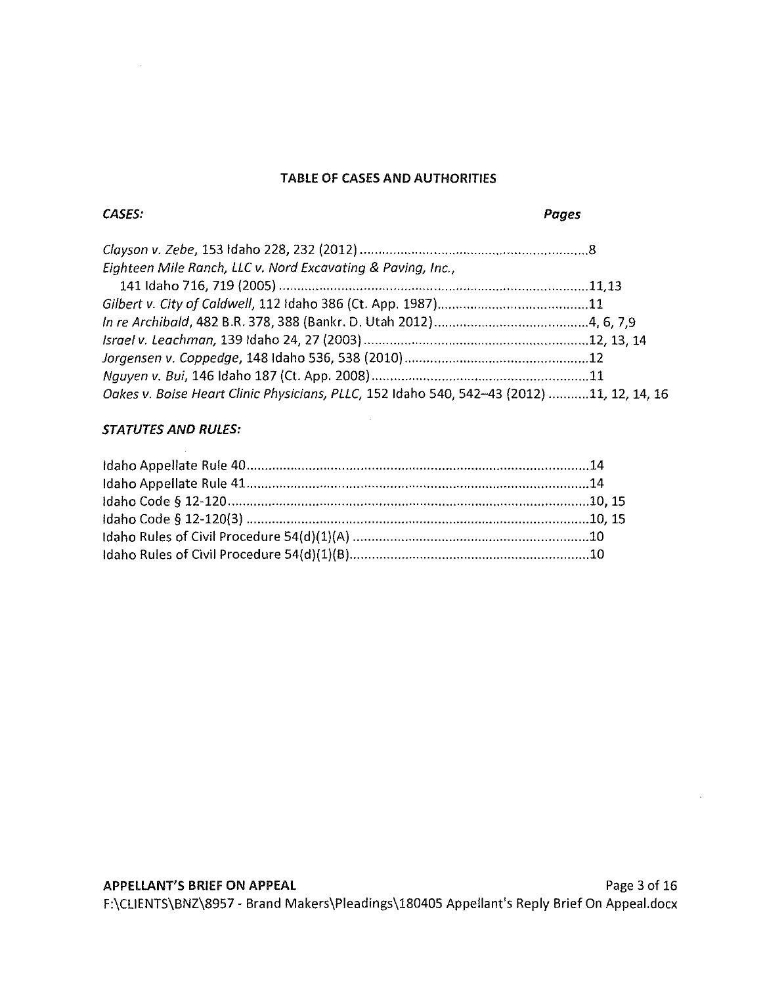## **TABLE OF CASES AND AUTHORITIES**

## **CASES: Pages**

| Eighteen Mile Ranch, LLC v. Nord Excavating & Paving, Inc.,                               |  |
|-------------------------------------------------------------------------------------------|--|
|                                                                                           |  |
|                                                                                           |  |
|                                                                                           |  |
|                                                                                           |  |
|                                                                                           |  |
|                                                                                           |  |
| Oakes v. Boise Heart Clinic Physicians, PLLC, 152 Idaho 540, 542-43 (2012) 11, 12, 14, 16 |  |

## **STATUTES AND RULES:**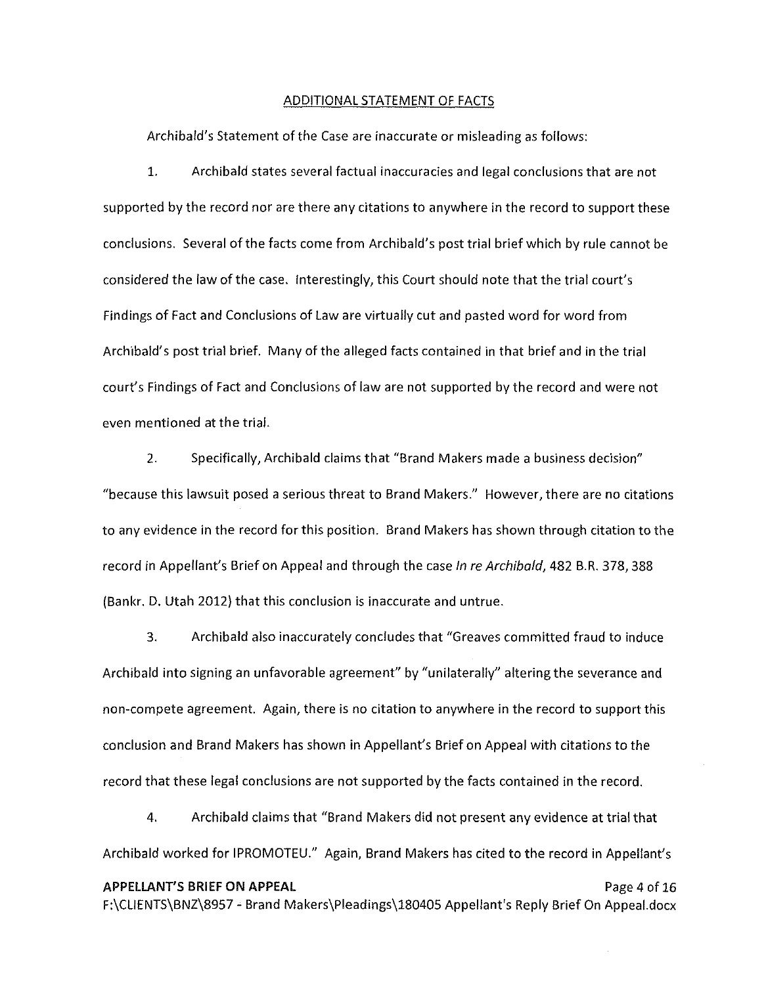#### ADDITIONAL STATEMENT OF FACTS

Archibald's Statement of the Case are inaccurate or misleading as follows:

1. Archibald states several factual inaccuracies and legal conclusions that are not supported by the record nor are there any citations to anywhere in the record to support these conclusions. Several of the facts come from Archibald's post trial brief which by rule cannot be considered the law of the case. Interestingly, this Court should note that the trial court's Findings of Fact and Conclusions of Law are virtually cut and pasted word for word from Archibald's post trial brief. Many of the alleged facts contained in that brief and in the trial court's Findings of Fact and Conclusions of law are not supported by the record and were not even mentioned at the trial.

2. Specifically, Archibald claims that "Brand Makers made a business decision" "because this lawsuit posed a serious threat to Brand Makers." However, there are no citations to any evidence in the record for this position. Brand Makers has shown through citation to the record in Appellant's Brief on Appeal and through the case In re Archibald, 482 B.R. 378, 388 (Bankr. D. Utah 2012) that this conclusion is inaccurate and untrue.

3. Archibald also inaccurately concludes that "Greaves committed fraud to induce Archibald into signing an unfavorable agreement" by "unilaterally" altering the severance and non-compete agreement. Again, there is no citation to anywhere in the record to support this conclusion and Brand Makers has shown in Appellant's Brief on Appeal with citations to the record that these legal conclusions are not supported by the facts contained in the record.

4. Archibald claims that "Brand Makers did not present any evidence at trial that Archibald worked for IPROMOTEU." Again, Brand Makers has cited to the record in Appellant's

## **APPELLANT'S BRIEF ON APPEAL** Page 4 of 16 F:\CLIENTS\BNZ\8957 - Brand Makers\Pleadings\180405 Appellant's Reply Brief On Appeal.docx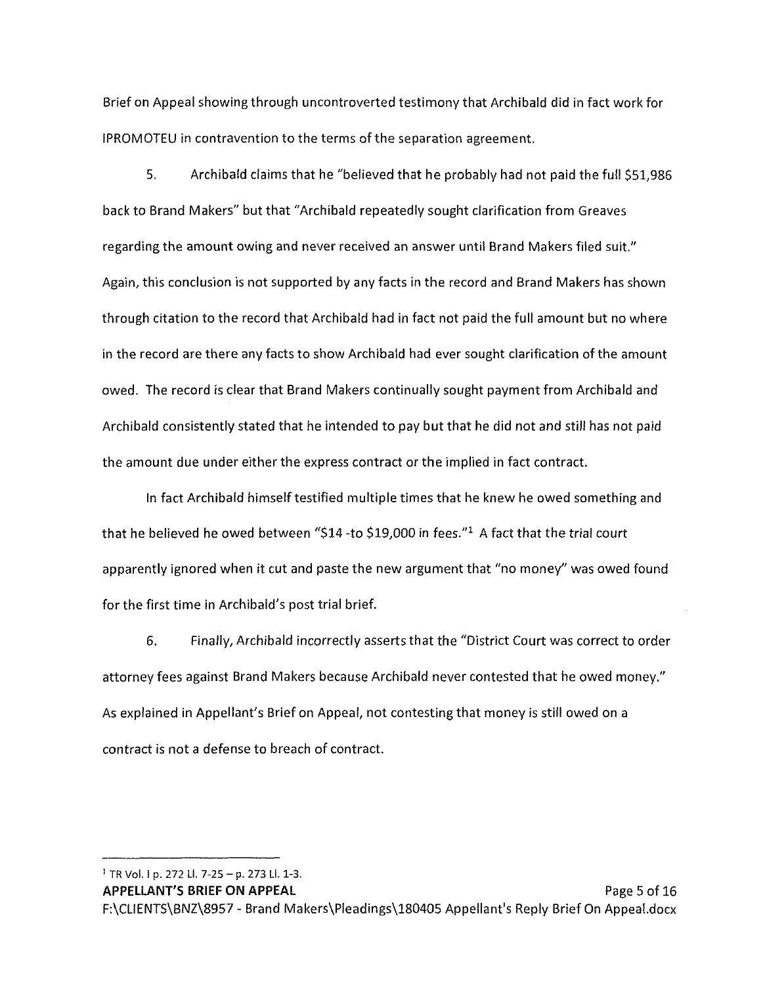Brief on Appeal showing through uncontroverted testimony that Archibald did in fact work for lPROMOTEU in contravention to the terms of the separation agreement.

5. Archibald claims that he "believed that he probably had not paid the full \$51,986 back to Brand Makers" but that "Archibald repeatedly sought clarification from Greaves regarding the amount owing and never received an answer until Brand Makers filed suit." Again, this conclusion is not supported by any facts in the record and Brand Makers has shown through citation to the record that Archibald had in fact not paid the full amount but no where in the record are there any facts to show Archibald had ever sought clarification of the amount owed. The record is clear that Brand Makers continually sought payment from Archibald and Archibald consistently stated that he intended to pay but that he did not and still has not paid the amount due under either the express contract or the implied in fact contract.

In fact Archibald himself testified multiple times that he knew he owed something and that he believed he owed between "\$14 -to \$19,000 in fees." $1$  A fact that the trial court apparently ignored when it cut and paste the new argument that "no money" was owed found for the first time in Archibald's post trial brief.

6. Finally, Archibald incorrectly asserts that the "District Court was correct to order attorney fees against Brand Makers because Archibald never contested that he owed money." As explained in Appellant's Brief on Appeal, not contesting that money is still owed on a contract is not a defense to breach of contract.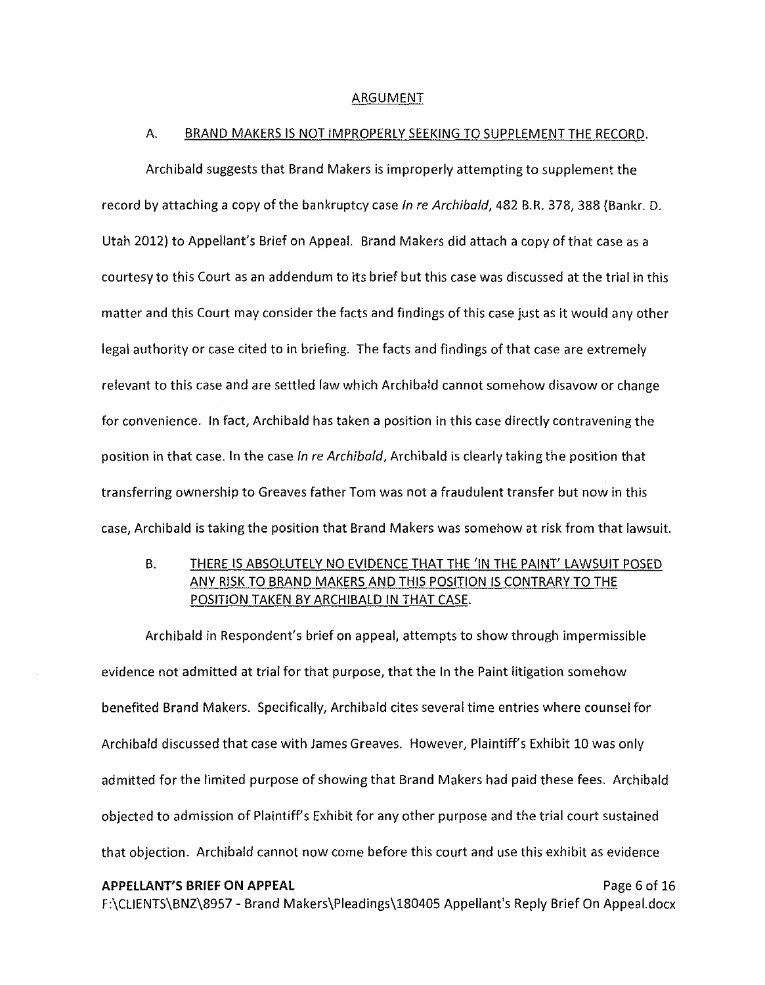#### ARGUMENT

#### A. BRAND MAKERS IS NOT IMPROPERLY SEEKING TO SUPPLEMENT THE RECORD.

Archibald suggests that Brand Makers is improperly attempting to supplement the record by attaching a copy of the bankruptcy case In re Archibald, 482 B.R. 378, 388 (Bankr. D. Utah 2012) to Appellant's Brief on Appeal. Brand Makers did attach a copy of that case as a courtesy to this Court as an addendum to its brief but this case was discussed at the trial in this matter and this Court may consider the facts and findings of this case just as it would any other legal authority or case cited to in briefing. The facts and findings of that case are extremely relevant to this case and are settled law which Archibald cannot somehow disavow or change for convenience. In fact, Archibald has taken a position in this case directly contravening the position in that case. In the case In re Archibald, Archibald is clearly taking the position that transferring ownership to Greaves father Tom was not a fraudulent transfer but now in this case, Archibald is taking the position that Brand Makers was somehow at risk from that lawsuit.

B. THERE IS ABSOLUTELY NO EVIDENCE THAT THE 'IN THE PAINT' LAWSUIT POSED ANY RISK TO BRAND MAKERS AND THIS POSITION IS CONTRARY TO THE POSITION TAKEN BY ARCHIBALD IN THAT CASE.

Archibald in Respondent's brief on appeal, attempts to show through impermissible evidence not admitted at trial for that purpose, that the In the Paint litigation somehow benefited Brand Makers. Specifically, Archibald cites several time entries where counsel for Archibald discussed that case with James Greaves. However, Plaintiff's Exhibit 10 was only admitted for the limited purpose of showing that Brand Makers had paid these fees. Archibald objected to admission of Plaintiff's Exhibit for any other purpose and the trial court sustained that objection. Archibald cannot now come before this court and use this exhibit as evidence **APPELLANT'S BRIEF ON APPEAL** Page 6 of 16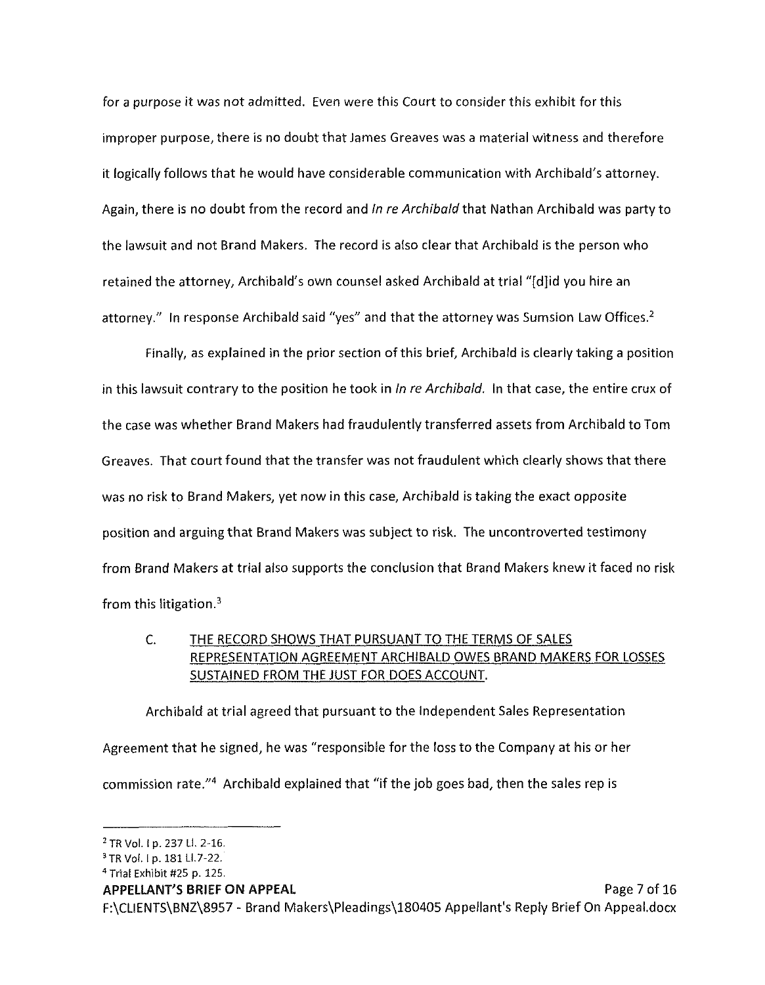for a purpose it was not admitted. Even were this Court to consider this exhibit for this improper purpose, there is no doubt that James Greaves was a material witness and therefore it logically follows that he would have considerable communication with Archibald's attorney. Again, there is no doubt from the record and In re Archibald that Nathan Archibald was party to the lawsuit and not Brand Makers. The record is also clear that Archibald is the person who retained the attorney, Archibald's own counsel asked Archibald at trial "[d]id you hire an attorney." In response Archibald said "yes" and that the attorney was Sumsion Law Offices.<sup>2</sup>

Finally, as explained in the prior section of this brief, Archibald is clearly taking a position in this lawsuit contrary to the position he took in In re Archibald. In that case, the entire crux of the case was whether Brand Makers had fraudulently transferred assets from Archibald to Tom Greaves. That court found that the transfer was not fraudulent which clearly shows that there was no risk to Brand Makers, yet now in this case, Archibald is taking the exact opposite position and arguing that Brand Makers was subject to risk. The uncontroverted testimony from Brand Makers at trial also supports the conclusion that Brand Makers knew it faced no risk from this litigation.<sup>3</sup>

## C. THE RECORD SHOWS THAT PURSUANT TO THE TERMS OF SALES REPRESENTATION AGREEMENT ARCHIBALD OWES BRAND MAKERS FOR LOSSES SUSTAINED FROM THE JUST FOR DOES ACCOUNT.

Archibald at trial agreed that pursuant to the Independent Sales Representation Agreement that he signed, he was "responsible for the loss to the Company at his or her commission rate."4 Archibald explained that "if the job goes bad, then the sales rep is

#### **APPELLANT'S BRIEF ON APPEAL** Page 7 of 16

<sup>2</sup>TR Vol. Ip. 237 LI. 2-16.

<sup>&</sup>lt;sup>3</sup> TR Vol. 1 p. 181 Ll. 7-22.

<sup>4</sup>Trial Exhibit #25 p. 125.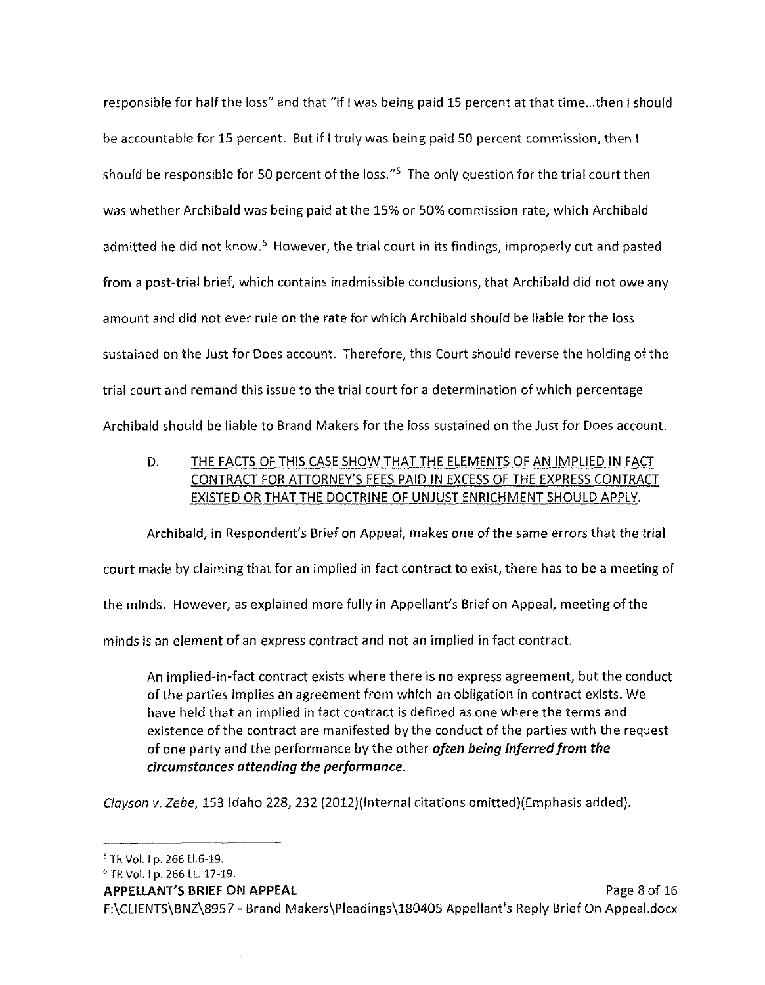responsible for half the loss" and that "if I was being paid 15 percent at that time...then I should be accountable for 15 percent. But if I truly was being paid 50 percent commission, then I should be responsible for 50 percent of the loss.<sup>"5</sup> The only question for the trial court then was whether Archibald was being paid at the 15% or 50% commission rate, which Archibald admitted he did not know.<sup>6</sup> However, the trial court in its findings, improperly cut and pasted from a post-trial brief, which contains inadmissible conclusions, that Archibald did not owe any amount and did not ever rule on the rate for which Archibald should be liable for the loss sustained on the Just for Does account. Therefore, this Court should reverse the holding of the trial court and remand this issue to the trial court for a determination of which percentage Archibald should be liable to Brand Makers for the loss sustained on the Just for Does account.

D. THE FACTS OF THIS CASE SHOW THAT THE ELEMENTS OF AN IMPLIED IN FACT CONTRACT FOR ATTORNEY'S FEES PAID IN EXCESS OF THE EXPRESS CONTRACT EXISTED OR THAT THE DOCTRINE OF UNJUST ENRICHMENT SHOULD APPLY.

Archibald, in Respondent's Brief on Appeal, makes one of the same errors that the trial court made by claiming that for an implied in fact contract to exist, there has to be a meeting of the minds. However, as explained more fully in Appellant's Brief on Appeal, meeting of the minds is an element of an express contract and not an implied in fact contract.

An implied-in-fact contract exists where there is no express agreement, but the conduct of the parties implies an agreement from which an obligation in contract exists. We have held that an implied in fact contract is defined as one where the terms and existence of the contract are manifested by the conduct of the parties with the request of one party and the performance by the other *often being inferred from the circumstances attending the performance.* 

Clayson v. Zebe, 153 Idaho 228, 232 (2012)(Internal citations omitted)(Emphasis added).

<sup>5</sup>TR Vol. Ip. 266 Ll.6-19.

<sup>6</sup> TR Vol. Ip. 266 LL. 17-19.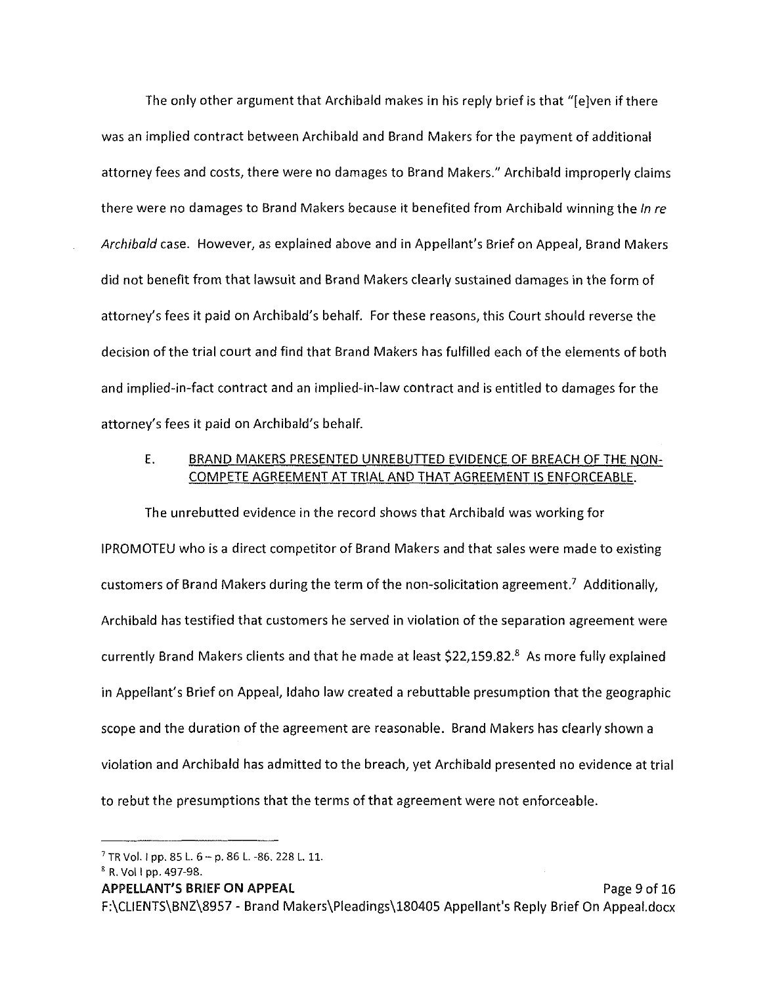The only other argument that Archibald makes in his reply brief is that "[e]ven if there was an implied contract between Archibald and Brand Makers for the payment of additional attorney fees and costs, there were no damages to Brand Makers." Archibald improperly claims there were no damages to Brand Makers because it benefited from Archibald winning the In re *Archibald* case. However, as explained above and in Appellant's Brief on Appeal, Brand Makers did not benefit from that lawsuit and Brand Makers clearly sustained damages in the form of attorney's fees it paid on Archibald's behalf. For these reasons, this Court should reverse the decision of the trial court and find that Brand Makers has fulfilled each of the elements of both and implied-in-fact contract and an implied-in-law contract and is entitled to damages for the attorney's fees it paid on Archibald's behalf.

## E. BRAND MAKERS PRESENTED UN REBUTTED EVIDENCE OF BREACH OF THE NON-COMPETE AGREEMENT AT TRIAL AND THAT AGREEMENT IS ENFORCEABLE.

The unrebutted evidence in the record shows that Archibald was working for IPROMOTEU who is a direct competitor of Brand Makers and that sales were made to existing customers of Brand Makers during the term of the non-solicitation agreement.<sup>7</sup> Additionally, Archibald has testified that customers he served in violation of the separation agreement were currently Brand Makers clients and that he made at least \$22,159.82.8 As more fully explained in Appellant's Brief on Appeal, Idaho law created a rebuttable presumption that the geographic scope and the duration of the agreement are reasonable. Brand Makers has clearly shown a violation and Archibald has admitted to the breach, yet Archibald presented no evidence at trial to rebut the presumptions that the terms of that agreement were not enforceable.

 $7$  TR Vol. 1 pp. 85 L. 6 - p. 86 L. -86. 228 L. 11.

<sup>8</sup> R. Vol I pp. 497-98.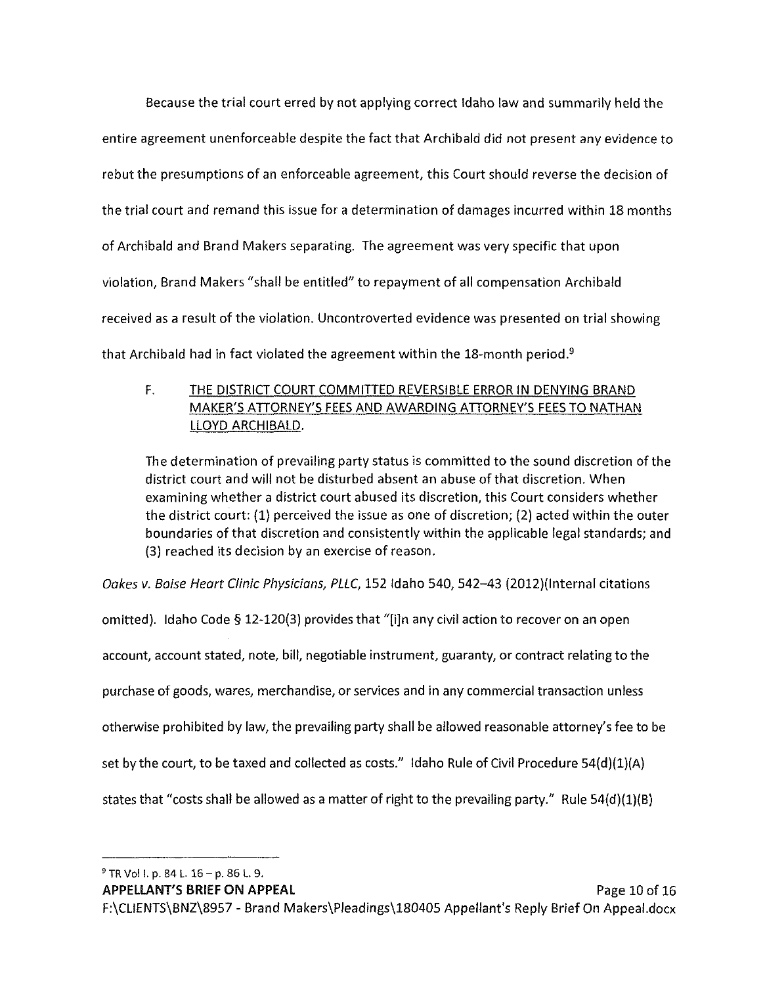Because the trial court erred by not applying correct Idaho law and summarily held the entire agreement unenforceable despite the fact that Archibald did not present any evidence to rebut the presumptions of an enforceable agreement, this Court should reverse the decision of the trial court and remand this issue for a determination of damages incurred within 18 months of Archibald and Brand Makers separating. The agreement was very specific that upon violation, Brand Makers "shall be entitled" to repayment of all compensation Archibald received as a result of the violation. Uncontroverted evidence was presented on trial showing that Archibald had in fact violated the agreement within the 18-month period.<sup>9</sup>

## F. THE DISTRICT COURT COMMITTED REVERSIBLE ERROR IN DENYING BRAND MAKER'S ATTORNEY'S FEES AND AWARDING ATTORNEY'S FEES TO NATHAN LLOYD ARCHIBALD.

The determination of prevailing party status is committed to the sound discretion of the district court and will not be disturbed absent an abuse of that discretion. When examining whether a district court abused its discretion, this Court considers whether the district court: **(1)** perceived the issue as one of discretion; (2) acted within the outer boundaries of that discretion and consistently within the applicable legal standards; and (3) reached its decision by an exercise of reason.

Oakes v. Baise Heart Clinic Physicians, PLLC, 152 Idaho 540, 542-43 (2012)(Internal citations

omitted). Idaho Code § 12-120(3) provides that "[i]n any civil action to recover on an open account, account stated, note, bill, negotiable instrument, guaranty, or contract relating to the purchase of goods, wares, merchandise, or services and in any commercial transaction unless otherwise prohibited by law, the prevailing party shall be allowed reasonable attorney's fee to be set by the court, to be taxed and collected as costs." Idaho Rule of Civil Procedure 54(d)(1)(A) states that "costs shall be allowed as a matter of right to the prevailing party." Rule 54(d)(1)(B)

9 TR Vol I. p. 84 L. 16 - p. 86 L. 9.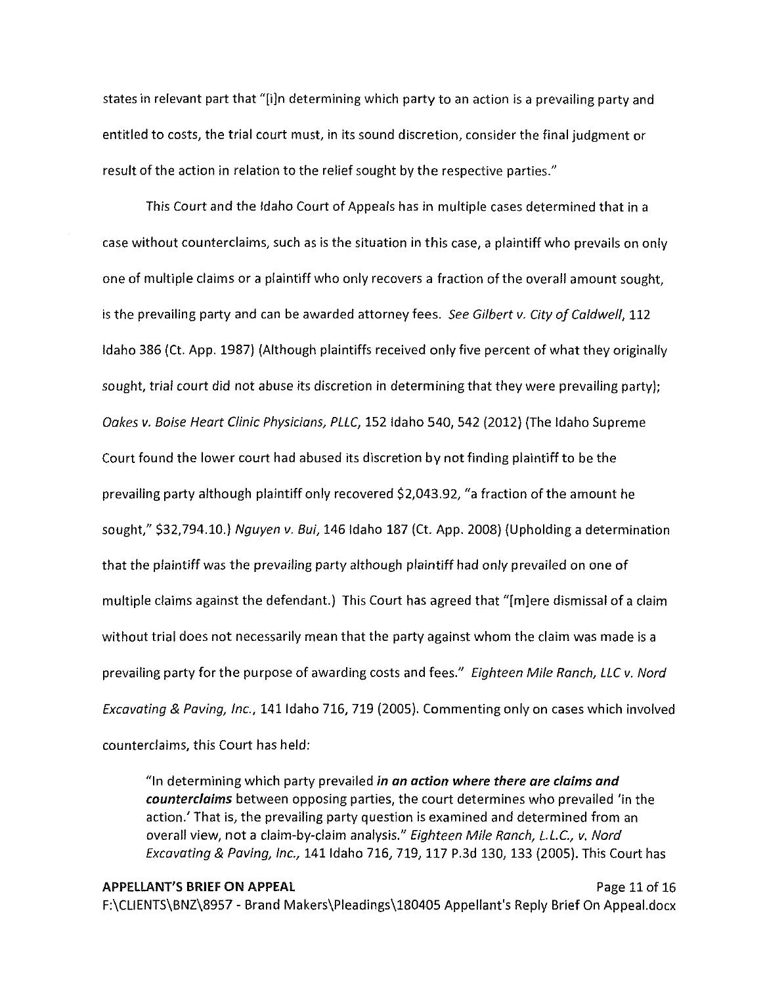states in relevant part that "[i]n determining which party to an action is a prevailing party and entitled to costs, the trial court must, in its sound discretion, consider the final judgment or result of the action in relation to the relief sought by the respective parties."

This Court and the Idaho Court of Appeals has in multiple cases determined that in a case without counterclaims, such as is the situation in this case, a plaintiff who prevails on only one of multiple claims or a plaintiff who only recovers a fraction of the overall amount sought, is the prevailing party and can be awarded attorney fees. See Gilbert v. City of Caldwell, 112 Idaho 386 (Ct. App. 1987) (Although plaintiffs received only five percent of what they originally sought, trial court did not abuse its discretion in determining that they were prevailing party); Oakes v. Baise Heart Clinic Physicians, PLLC, 152 Idaho 540, 542 (2012) (The Idaho Supreme Court found the lower court had abused its discretion by not finding plaintiff to be the prevailing party although plaintiff only recovered \$2,043.92, "a fraction of the amount he sought," \$32,794.10.) Nguyen v. Bui, 146 Idaho 187 (Ct. App. 2008) (Upholding a determination that the plaintiff was the prevailing party although plaintiff had only prevailed on one of multiple claims against the defendant.) This Court has agreed that "[m]ere dismissal of a claim without trial does not necessarily mean that the party against whom the claim was made is a prevailing party for the purpose of awarding costs and fees." Eighteen Mile Ranch, LLC v. Nord Excavating & Paving, Inc., 141 Idaho 716, 719 (2005). Commenting only on cases which involved counterclaims, this Court has held:

"In determining which party prevailed *in an action where there are claims and counterclaims* between opposing parties, the court determines who prevailed 'in the action.' That is, the prevailing party question is examined and determined from an overall view, not a claim-by-claim analysis." Eighteen Mile Ranch, L.L.C., v. Nord Excavating & Paving, Inc., 141 Idaho 716, 719, 117 P.3d 130, 133 (2005). This Court has

## **APPELLANT'S BRIEF ON APPEAL** Page 11 of 16 F:\CLIENTS\BNZ\8957 - Brand Makers\Pleadings\180405 Appellant's Reply Brief On Appeal.docx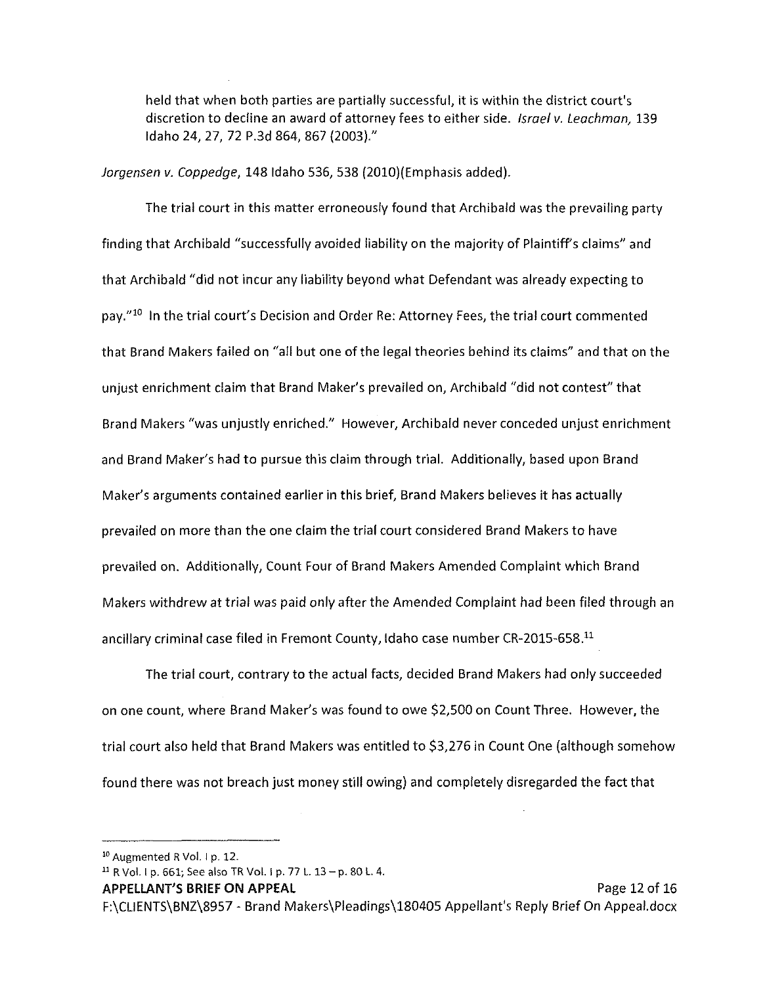held that when both parties are partially successful, it is within the district court's discretion to decline an award of attorney fees to either side. Israel v. Leachman, 139 Idaho 24, 27, 72 P.3d 864, 867 (2003)."

Jorgensen v. Coppedge, 148 Idaho 536, 538 (2010)(Emphasis added).

The trial court in this matter erroneously found that Archibald was the prevailing party finding that Archibald "successfully avoided liability on the majority of Plaintiffs claims" and that Archibald "did not incur any liability beyond what Defendant was already expecting to pay."<sup>10</sup> In the trial court's Decision and Order Re: Attorney Fees, the trial court commented that Brand Makers failed on "all but one of the legal theories behind its claims" and that on the unjust enrichment claim that Brand Maker's prevailed on, Archibald "did not contest" that Brand Makers "was unjustly enriched." However, Archibald never conceded unjust enrichment and Brand Maker's had to pursue this claim through trial. Additionally, based upon Brand Maker's arguments contained earlier in this brief, Brand Makers believes it has actually prevailed on more than the one claim the trial court considered Brand Makers to have prevailed on. Additionally, Count Four of Brand Makers Amended Complaint which Brand Makers withdrew at trial was paid only after the Amended Complaint had been filed through an ancillary criminal case filed in Fremont County, Idaho case number CR-2015-658.<sup>11</sup>

The trial court, contrary to the actual facts, decided Brand Makers had only succeeded on one count, where Brand Maker's was found to owe \$2,500 on Count Three. However, the trial court also held that Brand Makers was entitled to \$3,276 in Count One (although somehow found there was not breach just money still owing) and completely disregarded the fact that

**APPELLANT'S BRIEF ON APPEAL** Page 12 of 16

<sup>&</sup>lt;sup>10</sup> Augmented R Vol. 1 p. 12.

<sup>&</sup>lt;sup>11</sup> R Vol. I p. 661; See also TR Vol. I p. 77 L.  $13 - p$ . 80 L. 4.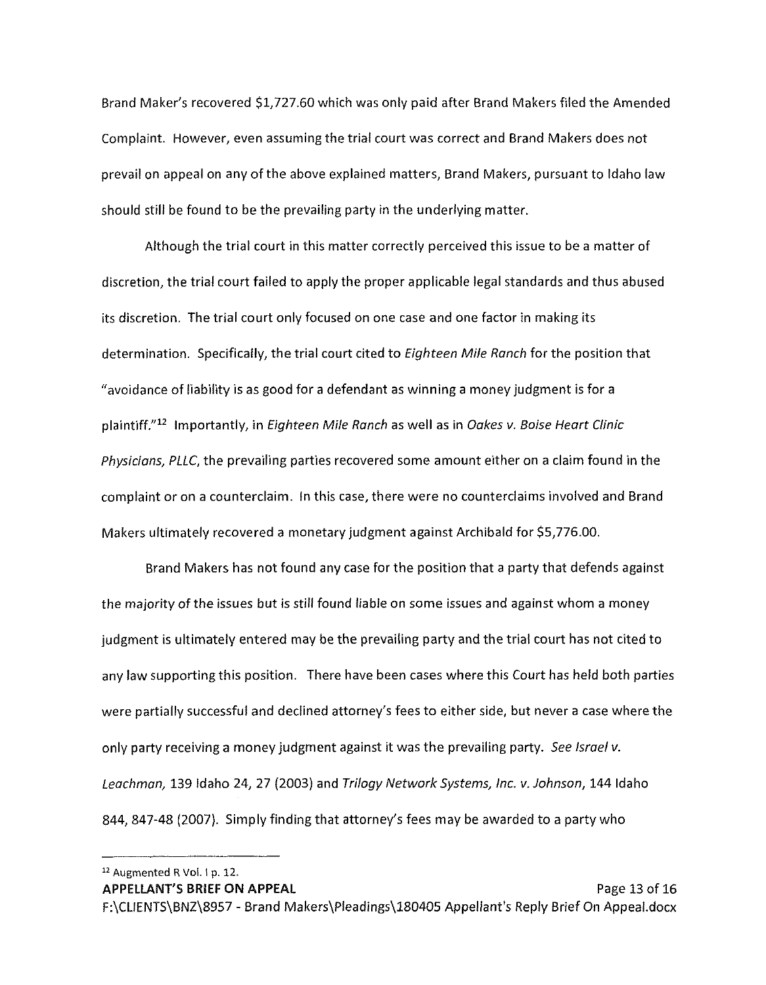Brand Maker's recovered \$1,727.60 which was only paid after Brand Makers filed the Amended Complaint. However, even assuming the trial court was correct and Brand Makers does not prevail on appeal on any of the above explained matters, Brand Makers, pursuant to Idaho law should still be found to be the prevailing party in the underlying matter.

Although the trial court in this matter correctly perceived this issue to be a matter of discretion, the trial court failed to apply the proper applicable legal standards and thus abused its discretion. The trial court only focused on one case and one factor in making its determination. Specifically, the trial court cited to Eighteen Mile Ranch for the position that "avoidance of liability is as good for a defendant as winning a money judgment is for a plaintiff."<sup>12</sup> Importantly, in Eighteen Mile Ranch as well as in Oakes v. Boise Heart Clinic Physicians, PLLC, the prevailing parties recovered some amount either on a claim found in the complaint or on a counterclaim. In this case, there were no counterclaims involved and Brand Makers ultimately recovered a monetary judgment against Archibald for \$5,776.00.

Brand Makers has not found any case for the position that a party that defends against the majority of the issues but is still found liable on some issues and against whom a money judgment is ultimately entered may be the prevailing party and the trial court has not cited to any law supporting this position. There have been cases where this Court has held both parties were partially successful and declined attorney's fees to either side, but never a case where the only party receiving a money judgment against it was the prevailing party. See Israel v. Leachman, 139 Idaho 24, 27 (2003) and Trilogy Network Systems, Inc. v. Johnson, 144 Idaho 844, 847-48 (2007). Simply finding that attorney's fees may be awarded to a party who

<sup>12</sup>Augmented R Vol. Ip. 12.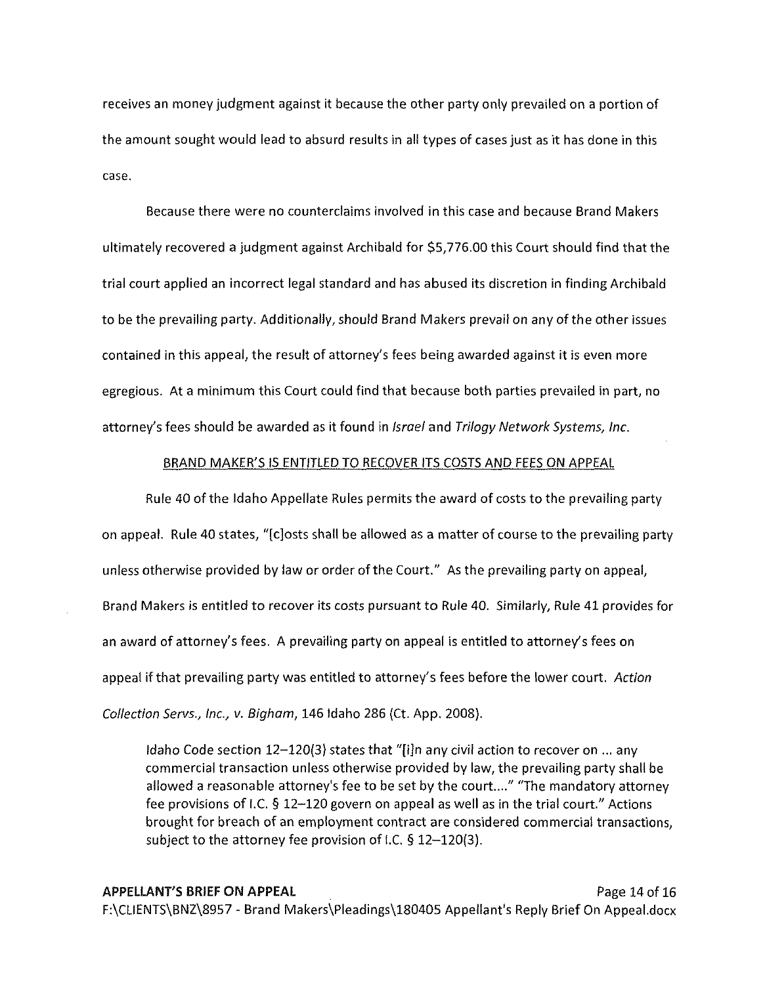receives an money judgment against it because the other party only prevailed on a portion of the amount sought would lead to absurd results in all types of cases just as it has done in this case.

Because there were no counterclaims involved in this case and because Brand Makers ultimately recovered a judgment against Archibald for \$5,776.00 this Court should find that the trial court applied an incorrect legal standard and has abused its discretion in finding Archibald to be the prevailing party. Additionally, should Brand Makers prevail on any of the other issues contained in this appeal, the result of attorney's fees being awarded against it is even more egregious. At a minimum this Court could find that because both parties prevailed in part, no attorney's fees should be awarded as it found in *Israel* and Trilogy Network Systems, Inc.

#### BRAND MAKER'S IS ENTITLED TO RECOVER ITS COSTS AND FEES ON APPEAL

Rule 40 of the Idaho Appellate Rules permits the award of costs to the prevailing party on appeal. Rule 40 states, "[c]osts shall be allowed as a matter of course to the prevailing party unless otherwise provided by law or order of the Court." As the prevailing party on appeal, Brand Makers is entitled to recover its costs pursuant to Rule 40. Similarly, Rule 41 provides for an award of attorney's fees. A prevailing party on appeal is entitled to attorney's fees on appeal if that prevailing party was entitled to attorney's fees before the lower court. Action Collection Servs., Inc., v. Bigham, 146 Idaho 286 {Ct. App. 2008).

Idaho Code section  $12-120(3)$  states that "[i]n any civil action to recover on ... any commercial transaction unless otherwise provided by law, the prevailing party shall be allowed a reasonable attorney's fee to be set by the court...." "The mandatory attorney fee provisions of I.C. § 12-120 govern on appeal as well as in the trial court." Actions brought for breach of an employment contract are considered commercial transactions, subject to the attorney fee provision of I.C.  $\S$  12-120(3).

**APPELLANT'S BRIEF ON APPEAL** Page 14 of 16 F:\CLIENTS\BNZ\8957 - Brand Makers\Pleadings\180405 Appellant's Reply Brief On Appeal.docx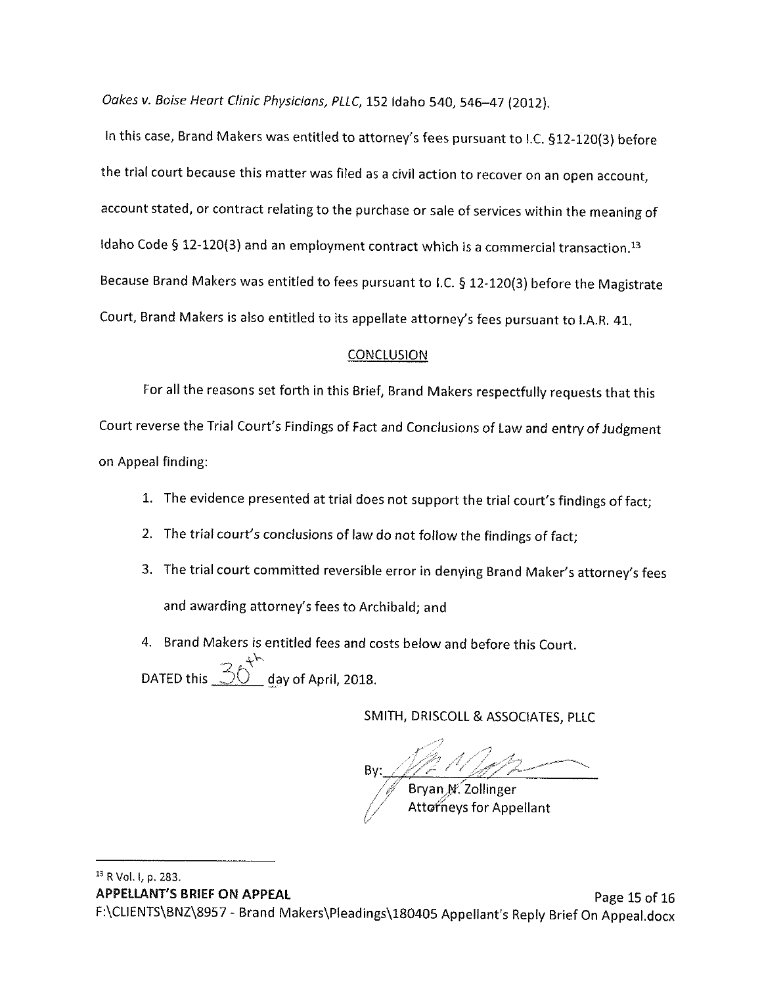Oakes v. Boise Heart Clinic Physicians, PLLC, 152 Idaho 540, 546-47 (2012).

In this case, Brand Makers was entitled to attorney's fees pursuant to I.C. §12-120(3) before the trial court because this matter was filed as a civil action to recover on an open account, account stated, or contract relating to the purchase or sale of services within the meaning of Idaho Code § 12-120(3) and an employment contract which is a commercial transaction.<sup>13</sup> Because Brand Makers was entitled to fees pursuant to I.C. § 12-120(3) before the Magistrate Court, Brand Makers is also entitled to its appellate attorney's fees pursuant to I.A.R. 41.

## **CONCLUSION**

For all the reasons set forth in this Brief, Brand Makers respectfully requests that this

Court reverse the Trial Court's Findings of Fact and Conclusions of Law and entry of Judgment on Appeal finding:

- 1. The evidence presented at trial does not support the trial court's findings of fact;
- 2. The trial court's conclusions of law do not follow the findings of fact;
- 3. The trial court committed reversible error in denying Brand Maker's attorney's fees and awarding attorney's fees to Archibald; and
- 4. Brand Makers is entitled fees and costs below and before this Court. DATED this  $\overline{\text{SO}^+}$  day of April, 2018.

SMITH, DRISCOLL & ASSOCIATES, PLLC

Bryan N. Zollinger ttorneys for Appellant